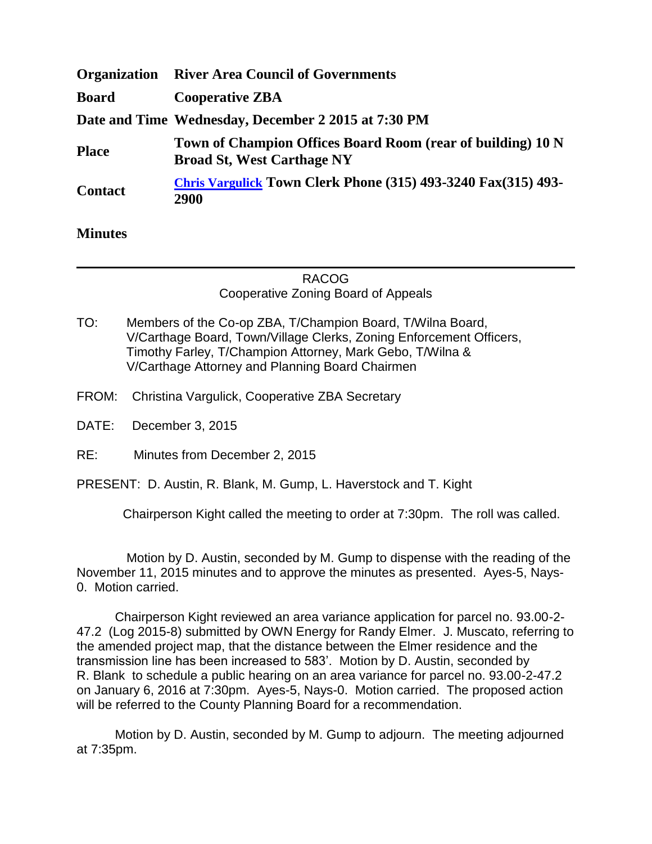| <b>Organization</b> | <b>River Area Council of Governments</b>                                                         |
|---------------------|--------------------------------------------------------------------------------------------------|
| <b>Board</b>        | <b>Cooperative ZBA</b>                                                                           |
|                     | Date and Time Wednesday, December 2 2015 at 7:30 PM                                              |
| <b>Place</b>        | Town of Champion Offices Board Room (rear of building) 10 N<br><b>Broad St, West Carthage NY</b> |
| <b>Contact</b>      | <b>Chris Vargulick Town Clerk Phone (315) 493-3240 Fax(315) 493-</b><br>2900                     |

## **Minutes**

## RACOG Cooperative Zoning Board of Appeals

- TO: Members of the Co-op ZBA, T/Champion Board, T/Wilna Board, V/Carthage Board, Town/Village Clerks, Zoning Enforcement Officers, Timothy Farley, T/Champion Attorney, Mark Gebo, T/Wilna & V/Carthage Attorney and Planning Board Chairmen
- FROM: Christina Vargulick, Cooperative ZBA Secretary
- DATE: December 3, 2015
- RE: Minutes from December 2, 2015

PRESENT: D. Austin, R. Blank, M. Gump, L. Haverstock and T. Kight

Chairperson Kight called the meeting to order at 7:30pm. The roll was called.

 Motion by D. Austin, seconded by M. Gump to dispense with the reading of the November 11, 2015 minutes and to approve the minutes as presented. Ayes-5, Nays-0. Motion carried.

Chairperson Kight reviewed an area variance application for parcel no. 93.00-2- 47.2 (Log 2015-8) submitted by OWN Energy for Randy Elmer. J. Muscato, referring to the amended project map, that the distance between the Elmer residence and the transmission line has been increased to 583'. Motion by D. Austin, seconded by R. Blank to schedule a public hearing on an area variance for parcel no. 93.00-2-47.2 on January 6, 2016 at 7:30pm. Ayes-5, Nays-0. Motion carried. The proposed action will be referred to the County Planning Board for a recommendation.

Motion by D. Austin, seconded by M. Gump to adjourn. The meeting adjourned at 7:35pm.